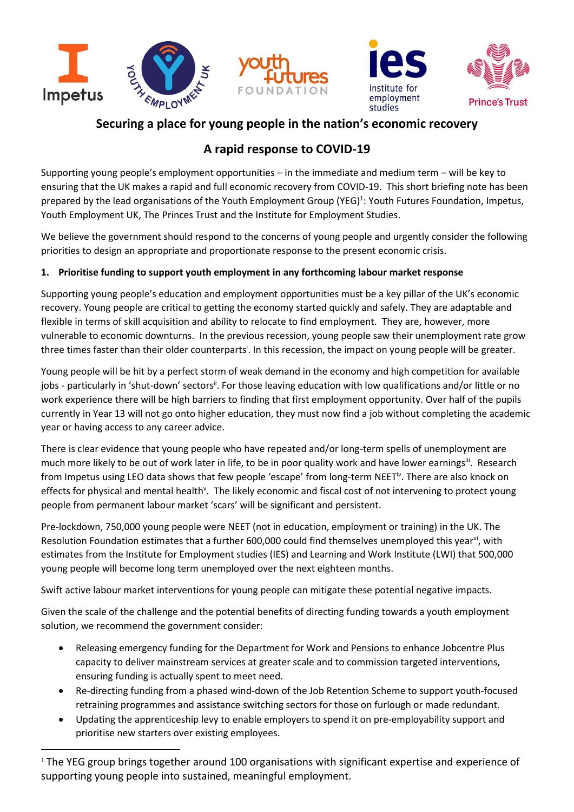



## **Securing a place for young people in the nation's economic recovery**

# **A rapid response to COVID-19**

Supporting young people's employment opportunities – in the immediate and medium term – will be key to ensuring that the UK makes a rapid and full economic recovery from COVID-19. This short briefing note has been prepared by the lead organisations of the Youth Employment Group (YEG)<sup>1</sup>: Youth Futures Foundation, Impetus, Youth Employment UK, The Princes Trust and the Institute for Employment Studies.

We believe the government should respond to the concerns of young people and urgently consider the following priorities to design an appropriate and proportionate response to the present economic crisis.

## **1. Prioritise funding to support youth employment in any forthcoming labour market response**

Supporting young people's education and employment opportunities must be a key pillar of the UK's economic recovery. Young people are critical to getting the economy started quickly and safely. They are adaptable and flexible in terms of skill acquisition and ability to relocate to find employment. They are, however, more vulnerable to economic downturns. In the previous recession, young people saw their unemployment rate grow three times faster than their older counterparts<sup>i</sup>. In this recession, the impact on young people will be greater.

Young people will be hit by a perfect storm of weak demand in the economy and high competition for available jobs - particularly in 'shut-down' sectors". For those leaving education with low qualifications and/or little or no work experience there will be high barriers to finding that first employment opportunity. Over half of the pupils currently in Year 13 will not go onto higher education, they must now find a job without completing the academic year or having access to any career advice.

There is clear evidence that young people who have repeated and/or long-term spells of unemployment are much more likely to be out of work later in life, to be in poor quality work and have lower earnings<sup>iit</sup>. Research from Impetus using LEO data shows that few people 'escape' from long-term NEET<sup>iv</sup>. There are also knock on effects for physical and mental health<sup>v</sup>. The likely economic and fiscal cost of not intervening to protect young people from permanent labour market 'scars' will be significant and persistent.

Pre-lockdown, 750,000 young people were NEET (not in education, employment or training) in the UK. The Resolution Foundation estimates that a further 600,000 could find themselves unemployed this year<sup>vi</sup>, with estimates from the Institute for Employment studies (IES) and Learning and Work Institute (LWI) that 500,000 young people will become long term unemployed over the next eighteen months.

Swift active labour market interventions for young people can mitigate these potential negative impacts.

Given the scale of the challenge and the potential benefits of directing funding towards a youth employment solution, we recommend the government consider:

- Releasing emergency funding for the Department for Work and Pensions to enhance Jobcentre Plus capacity to deliver mainstream services at greater scale and to commission targeted interventions, ensuring funding is actually spent to meet need.
- Re-directing funding from a phased wind-down of the Job Retention Scheme to support youth-focused retraining programmes and assistance switching sectors for those on furlough or made redundant.
- Updating the apprenticeship levy to enable employers to spend it on pre-employability support and prioritise new starters over existing employees.

<sup>&</sup>lt;sup>1</sup> The YEG group brings together around 100 organisations with significant expertise and experience of supporting young people into sustained, meaningful employment.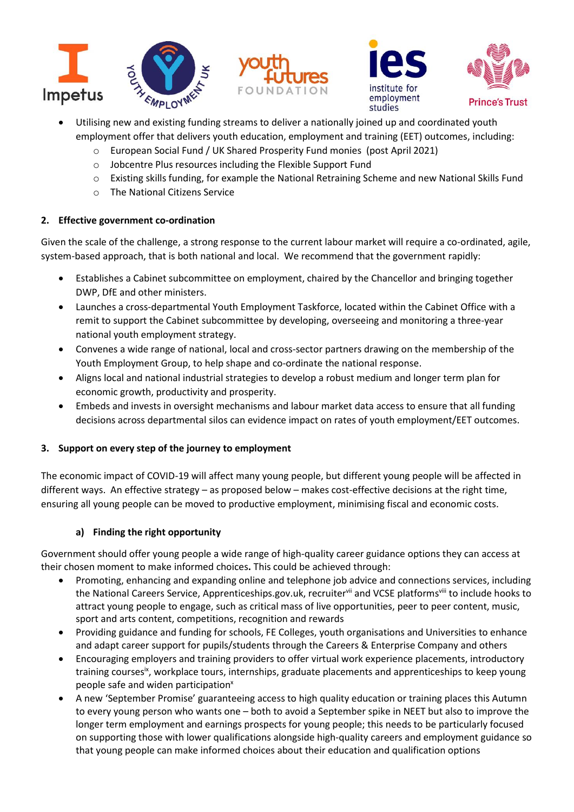





- Utilising new and existing funding streams to deliver a nationally joined up and coordinated youth employment offer that delivers youth education, employment and training (EET) outcomes, including:
	- o European Social Fund / UK Shared Prosperity Fund monies (post April 2021)
	- o Jobcentre Plus resources including the Flexible Support Fund
	- o Existing skills funding, for example the National Retraining Scheme and new National Skills Fund
	- o The National Citizens Service

#### **2. Effective government co-ordination**

Given the scale of the challenge, a strong response to the current labour market will require a co-ordinated, agile, system-based approach, that is both national and local. We recommend that the government rapidly:

- Establishes a Cabinet subcommittee on employment, chaired by the Chancellor and bringing together DWP, DfE and other ministers.
- Launches a cross-departmental Youth Employment Taskforce, located within the Cabinet Office with a remit to support the Cabinet subcommittee by developing, overseeing and monitoring a three-year national youth employment strategy.
- Convenes a wide range of national, local and cross-sector partners drawing on the membership of the Youth Employment Group, to help shape and co-ordinate the national response.
- Aligns local and national industrial strategies to develop a robust medium and longer term plan for economic growth, productivity and prosperity.
- Embeds and invests in oversight mechanisms and labour market data access to ensure that all funding decisions across departmental silos can evidence impact on rates of youth employment/EET outcomes.

## **3. Support on every step of the journey to employment**

The economic impact of COVID-19 will affect many young people, but different young people will be affected in different ways. An effective strategy – as proposed below – makes cost-effective decisions at the right time, ensuring all young people can be moved to productive employment, minimising fiscal and economic costs.

## **a) Finding the right opportunity**

Government should offer young people a wide range of high-quality career guidance options they can access at their chosen moment to make informed choices**.** This could be achieved through:

- Promoting, enhancing and expanding online and telephone job advice and connections services, including the National Careers Service, Apprenticeships.gov.uk, recruitervii and VCSE platformsvill to include hooks to attract young people to engage, such as critical mass of live opportunities, peer to peer content, music, sport and arts content, competitions, recognition and rewards
- Providing guidance and funding for schools, FE Colleges, youth organisations and Universities to enhance and adapt career support for pupils/students through the Careers & Enterprise Company and others
- Encouraging employers and training providers to offer virtual work experience placements, introductory training coursesix, workplace tours, internships, graduate placements and apprenticeships to keep young people safe and widen participation<sup>x</sup>
- A new 'September Promise' guaranteeing access to high quality education or training places this Autumn to every young person who wants one – both to avoid a September spike in NEET but also to improve the longer term employment and earnings prospects for young people; this needs to be particularly focused on supporting those with lower qualifications alongside high-quality careers and employment guidance so that young people can make informed choices about their education and qualification options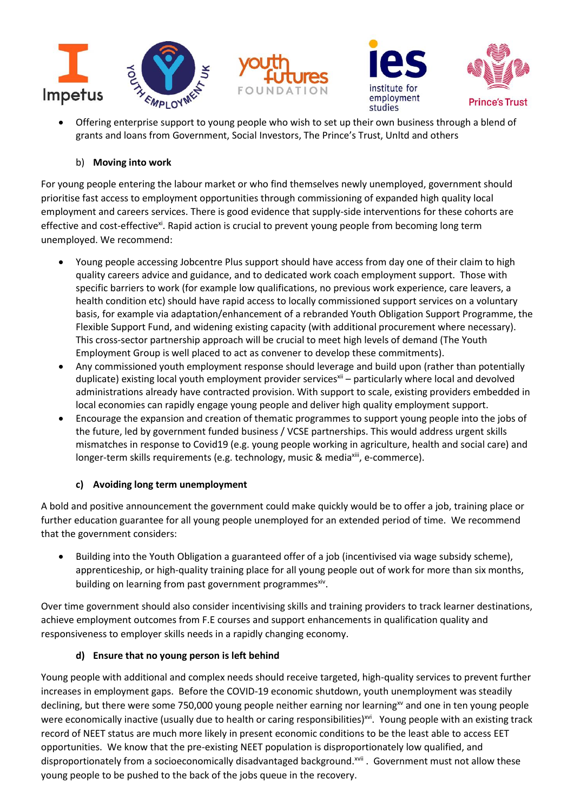





• Offering enterprise support to young people who wish to set up their own business through a blend of grants and loans from Government, Social Investors, The Prince's Trust, Unltd and others

## b) **Moving into work**

For young people entering the labour market or who find themselves newly unemployed, government should prioritise fast access to employment opportunities through commissioning of expanded high quality local employment and careers services. There is good evidence that supply-side interventions for these cohorts are effective and cost-effective<sup>xi</sup>. Rapid action is crucial to prevent young people from becoming long term unemployed. We recommend:

- Young people accessing Jobcentre Plus support should have access from day one of their claim to high quality careers advice and guidance, and to dedicated work coach employment support. Those with specific barriers to work (for example low qualifications, no previous work experience, care leavers, a health condition etc) should have rapid access to locally commissioned support services on a voluntary basis, for example via adaptation/enhancement of a rebranded Youth Obligation Support Programme, the Flexible Support Fund, and widening existing capacity (with additional procurement where necessary). This cross-sector partnership approach will be crucial to meet high levels of demand (The Youth Employment Group is well placed to act as convener to develop these commitments).
- Any commissioned youth employment response should leverage and build upon (rather than potentially duplicate) existing local youth employment provider services<sup>xii</sup> – particularly where local and devolved administrations already have contracted provision. With support to scale, existing providers embedded in local economies can rapidly engage young people and deliver high quality employment support.
- Encourage the expansion and creation of thematic programmes to support young people into the jobs of the future, led by government funded business / VCSE partnerships. This would address urgent skills mismatches in response to Covid19 (e.g. young people working in agriculture, health and social care) and longer-term skills requirements (e.g. technology, music & mediaxiii, e-commerce).

## **c) Avoiding long term unemployment**

A bold and positive announcement the government could make quickly would be to offer a job, training place or further education guarantee for all young people unemployed for an extended period of time. We recommend that the government considers:

• Building into the Youth Obligation a guaranteed offer of a job (incentivised via wage subsidy scheme), apprenticeship, or high-quality training place for all young people out of work for more than six months, building on learning from past government programmes<sup>xiv</sup>.

Over time government should also consider incentivising skills and training providers to track learner destinations, achieve employment outcomes from F.E courses and support enhancements in qualification quality and responsiveness to employer skills needs in a rapidly changing economy.

#### **d) Ensure that no young person is left behind**

Young people with additional and complex needs should receive targeted, high-quality services to prevent further increases in employment gaps. Before the COVID-19 economic shutdown, youth unemployment was steadily declining, but there were some 750,000 young people neither earning nor learning<sup>xv</sup> and one in ten young people were economically inactive (usually due to health or caring responsibilities)<sup>xvi</sup>. Young people with an existing track record of NEET status are much more likely in present economic conditions to be the least able to access EET opportunities. We know that the pre-existing NEET population is disproportionately low qualified, and disproportionately from a socioeconomically disadvantaged background.<sup>xvii</sup>. Government must not allow these young people to be pushed to the back of the jobs queue in the recovery.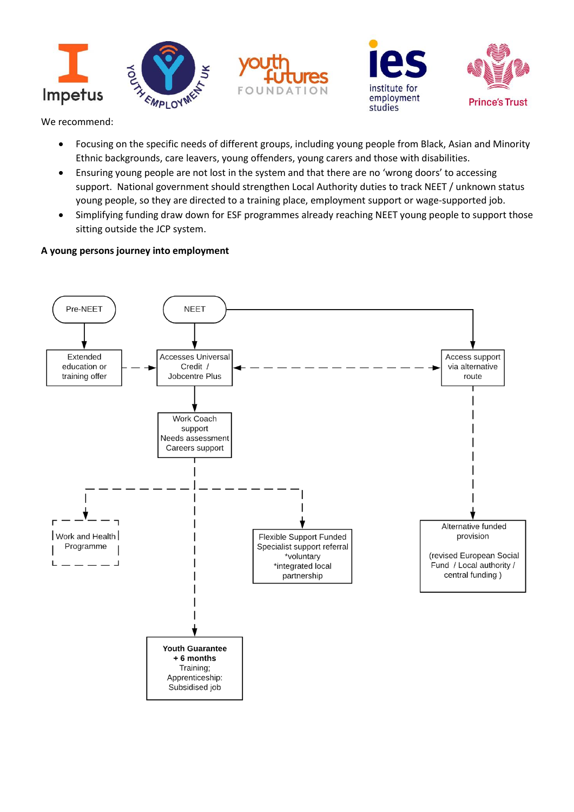





We recommend:

- Focusing on the specific needs of different groups, including young people from Black, Asian and Minority Ethnic backgrounds, care leavers, young offenders, young carers and those with disabilities.
- Ensuring young people are not lost in the system and that there are no 'wrong doors' to accessing support. National government should strengthen Local Authority duties to track NEET / unknown status young people, so they are directed to a training place, employment support or wage-supported job.
- Simplifying funding draw down for ESF programmes already reaching NEET young people to support those sitting outside the JCP system.

## **A young persons journey into employment**

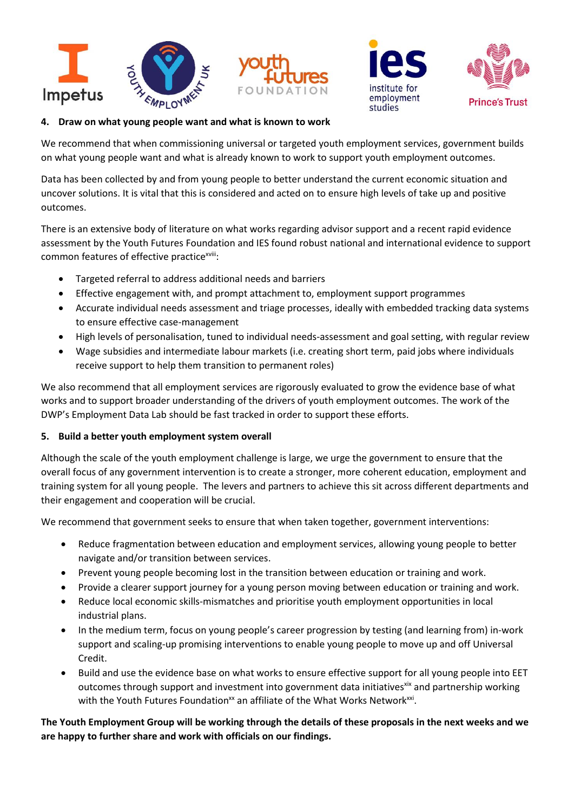





#### **4. Draw on what young people want and what is known to work**

We recommend that when commissioning universal or targeted youth employment services, government builds on what young people want and what is already known to work to support youth employment outcomes.

Data has been collected by and from young people to better understand the current economic situation and uncover solutions. It is vital that this is considered and acted on to ensure high levels of take up and positive outcomes.

There is an extensive body of literature on what works regarding advisor support and a recent rapid evidence assessment by the Youth Futures Foundation and IES found robust national and international evidence to support common features of effective practice<sup>xviii</sup>:

- Targeted referral to address additional needs and barriers
- Effective engagement with, and prompt attachment to, employment support programmes
- Accurate individual needs assessment and triage processes, ideally with embedded tracking data systems to ensure effective case-management
- High levels of personalisation, tuned to individual needs-assessment and goal setting, with regular review
- Wage subsidies and intermediate labour markets (i.e. creating short term, paid jobs where individuals receive support to help them transition to permanent roles)

We also recommend that all employment services are rigorously evaluated to grow the evidence base of what works and to support broader understanding of the drivers of youth employment outcomes. The work of the DWP's Employment Data Lab should be fast tracked in order to support these efforts.

#### **5. Build a better youth employment system overall**

Although the scale of the youth employment challenge is large, we urge the government to ensure that the overall focus of any government intervention is to create a stronger, more coherent education, employment and training system for all young people. The levers and partners to achieve this sit across different departments and their engagement and cooperation will be crucial.

We recommend that government seeks to ensure that when taken together, government interventions:

- Reduce fragmentation between education and employment services, allowing young people to better navigate and/or transition between services.
- Prevent young people becoming lost in the transition between education or training and work.
- Provide a clearer support journey for a young person moving between education or training and work.
- Reduce local economic skills-mismatches and prioritise youth employment opportunities in local industrial plans.
- In the medium term, focus on young people's career progression by testing (and learning from) in-work support and scaling-up promising interventions to enable young people to move up and off Universal Credit.
- Build and use the evidence base on what works to ensure effective support for all young people into EET outcomes through support and investment into government data initiatives<sup>xix</sup> and partnership working with the Youth Futures Foundation<sup>xx</sup> an affiliate of the What Works Network<sup>xxi</sup>.

**The Youth Employment Group will be working through the details of these proposals in the next weeks and we are happy to further share and work with officials on our findings.**